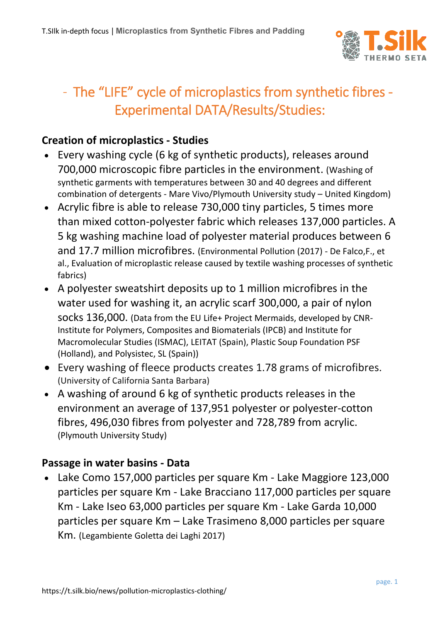

## - The "LIFE" cycle of microplastics from synthetic fibres - Experimental DATA/Results/Studies:

## **Creation of microplastics - Studies**

- Every washing cycle (6 kg of synthetic products), releases around 700,000 microscopic fibre particles in the environment. (Washing of synthetic garments with temperatures between 30 and 40 degrees and different combination of detergents - Mare Vivo/Plymouth University study – United Kingdom)
- Acrylic fibre is able to release 730,000 tiny particles, 5 times more than mixed cotton-polyester fabric which releases 137,000 particles. A 5 kg washing machine load of polyester material produces between 6 and 17.7 million microfibres. (Environmental Pollution (2017) - De Falco,F., et al., Evaluation of microplastic release caused by textile washing processes of synthetic fabrics)
- A polyester sweatshirt deposits up to 1 million microfibres in the water used for washing it, an acrylic scarf 300,000, a pair of nylon socks 136,000. (Data from the EU Life+ Project Mermaids, developed by CNR-Institute for Polymers, Composites and Biomaterials (IPCB) and Institute for Macromolecular Studies (ISMAC), LEITAT (Spain), Plastic Soup Foundation PSF (Holland), and Polysistec, SL (Spain))
- Every washing of fleece products creates 1.78 grams of microfibres. (University of California Santa Barbara)
- A washing of around 6 kg of synthetic products releases in the environment an average of 137,951 polyester or polyester-cotton fibres, 496,030 fibres from polyester and 728,789 from acrylic. (Plymouth University Study)

## **Passage in water basins - Data**

 Lake Como 157,000 particles per square Km - Lake Maggiore 123,000 particles per square Km - Lake Bracciano 117,000 particles per square Km - Lake Iseo 63,000 particles per square Km - Lake Garda 10,000 particles per square Km – Lake Trasimeno 8,000 particles per square Km. (Legambiente Goletta dei Laghi 2017)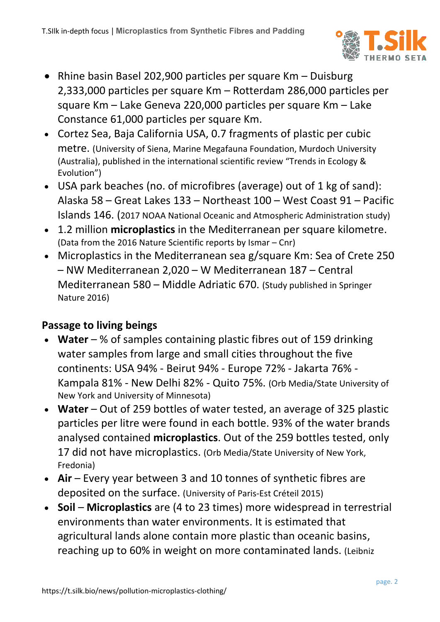

- Rhine basin Basel 202,900 particles per square Km Duisburg 2,333,000 particles per square Km – Rotterdam 286,000 particles per square Km – Lake Geneva 220,000 particles per square Km – Lake Constance 61,000 particles per square Km.
- Cortez Sea, Baja California USA, 0.7 fragments of plastic per cubic metre. (University of Siena, Marine Megafauna Foundation, Murdoch University (Australia), published in the international scientific review "Trends in Ecology & Evolution")
- USA park beaches (no. of microfibres (average) out of 1 kg of sand): Alaska 58 – Great Lakes 133 – Northeast 100 – West Coast 91 – Pacific Islands 146. (2017 NOAA National Oceanic and Atmospheric Administration study)
- 1.2 million **microplastics** in the Mediterranean per square kilometre. (Data from the 2016 Nature Scientific reports by Ismar – Cnr)
- Microplastics in the Mediterranean sea g/square Km: Sea of Crete 250 – NW Mediterranean 2,020 – W Mediterranean 187 – Central Mediterranean 580 – Middle Adriatic 670. (Study published in Springer Nature 2016)

## **Passage to living beings**

- **Water** % of samples containing plastic fibres out of 159 drinking water samples from large and small cities throughout the five continents: USA 94% - Beirut 94% - Europe 72% - Jakarta 76% - Kampala 81% - New Delhi 82% - Quito 75%. (Orb Media/State University of New York and University of Minnesota)
- **Water** Out of 259 bottles of water tested, an average of 325 plastic particles per litre were found in each bottle. 93% of the water brands analysed contained **microplastics**. Out of the 259 bottles tested, only 17 did not have microplastics. (Orb Media/State University of New York, Fredonia)
- **Air** Every year between 3 and 10 tonnes of synthetic fibres are deposited on the surface. (University of Paris-Est Créteil 2015)
- **Soil Microplastics** are (4 to 23 times) more widespread in terrestrial environments than water environments. It is estimated that agricultural lands alone contain more plastic than oceanic basins, reaching up to 60% in weight on more contaminated lands. (Leibniz